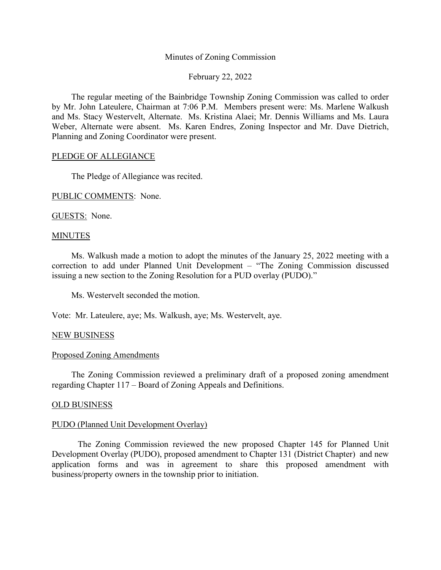## Minutes of Zoning Commission

## February 22, 2022

The regular meeting of the Bainbridge Township Zoning Commission was called to order by Mr. John Lateulere, Chairman at 7:06 P.M. Members present were: Ms. Marlene Walkush and Ms. Stacy Westervelt, Alternate. Ms. Kristina Alaei; Mr. Dennis Williams and Ms. Laura Weber, Alternate were absent. Ms. Karen Endres, Zoning Inspector and Mr. Dave Dietrich, Planning and Zoning Coordinator were present.

# PLEDGE OF ALLEGIANCE

The Pledge of Allegiance was recited.

PUBLIC COMMENTS: None.

GUESTS: None.

### **MINUTES**

Ms. Walkush made a motion to adopt the minutes of the January 25, 2022 meeting with a correction to add under Planned Unit Development – "The Zoning Commission discussed issuing a new section to the Zoning Resolution for a PUD overlay (PUDO)."

Ms. Westervelt seconded the motion.

Vote: Mr. Lateulere, aye; Ms. Walkush, aye; Ms. Westervelt, aye.

# NEW BUSINESS

## Proposed Zoning Amendments

The Zoning Commission reviewed a preliminary draft of a proposed zoning amendment regarding Chapter 117 – Board of Zoning Appeals and Definitions.

### OLD BUSINESS

### PUDO (Planned Unit Development Overlay)

The Zoning Commission reviewed the new proposed Chapter 145 for Planned Unit Development Overlay (PUDO), proposed amendment to Chapter 131 (District Chapter) and new application forms and was in agreement to share this proposed amendment with business/property owners in the township prior to initiation.